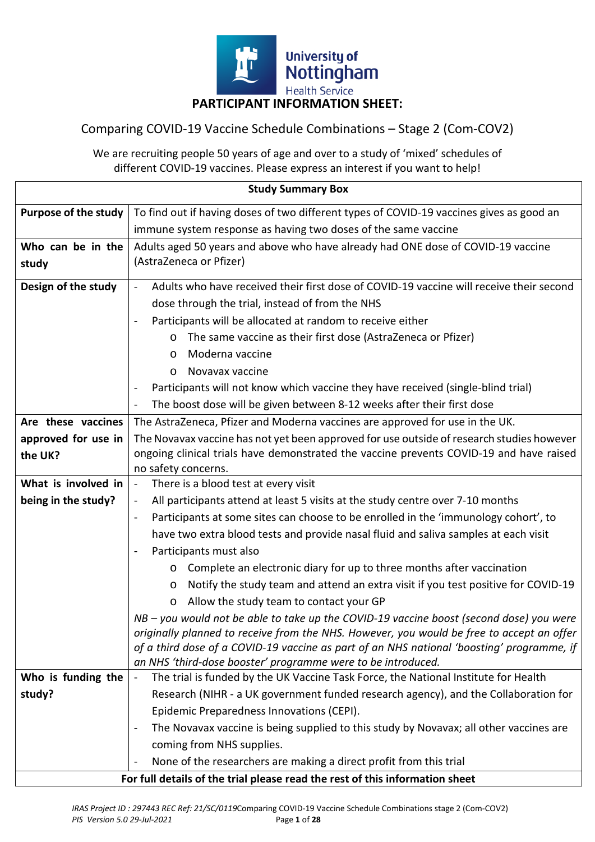

# Comparing COVID-19 Vaccine Schedule Combinations – Stage 2 (Com-COV2)

We are recruiting people 50 years of age and over to a study of 'mixed' schedules of different COVID-19 vaccines. Please express an interest if you want to help!

| <b>Study Summary Box</b>                                                     |                                                                                                                                                                                      |  |  |  |
|------------------------------------------------------------------------------|--------------------------------------------------------------------------------------------------------------------------------------------------------------------------------------|--|--|--|
| <b>Purpose of the study</b>                                                  | To find out if having doses of two different types of COVID-19 vaccines gives as good an                                                                                             |  |  |  |
|                                                                              | immune system response as having two doses of the same vaccine                                                                                                                       |  |  |  |
| Who can be in the                                                            | Adults aged 50 years and above who have already had ONE dose of COVID-19 vaccine                                                                                                     |  |  |  |
| study                                                                        | (AstraZeneca or Pfizer)                                                                                                                                                              |  |  |  |
| Design of the study                                                          | Adults who have received their first dose of COVID-19 vaccine will receive their second<br>$\blacksquare$                                                                            |  |  |  |
|                                                                              | dose through the trial, instead of from the NHS                                                                                                                                      |  |  |  |
|                                                                              | Participants will be allocated at random to receive either                                                                                                                           |  |  |  |
|                                                                              | The same vaccine as their first dose (AstraZeneca or Pfizer)<br>O                                                                                                                    |  |  |  |
|                                                                              | Moderna vaccine<br>$\circ$                                                                                                                                                           |  |  |  |
|                                                                              | Novavax vaccine<br>$\circ$                                                                                                                                                           |  |  |  |
|                                                                              | Participants will not know which vaccine they have received (single-blind trial)                                                                                                     |  |  |  |
|                                                                              | The boost dose will be given between 8-12 weeks after their first dose                                                                                                               |  |  |  |
| Are these vaccines                                                           | The AstraZeneca, Pfizer and Moderna vaccines are approved for use in the UK.                                                                                                         |  |  |  |
| approved for use in                                                          | The Novavax vaccine has not yet been approved for use outside of research studies however                                                                                            |  |  |  |
| the UK?                                                                      | ongoing clinical trials have demonstrated the vaccine prevents COVID-19 and have raised                                                                                              |  |  |  |
|                                                                              | no safety concerns.                                                                                                                                                                  |  |  |  |
| What is involved in                                                          | There is a blood test at every visit<br>$\blacksquare$                                                                                                                               |  |  |  |
| being in the study?                                                          | All participants attend at least 5 visits at the study centre over 7-10 months                                                                                                       |  |  |  |
|                                                                              | Participants at some sites can choose to be enrolled in the 'immunology cohort', to<br>$\blacksquare$                                                                                |  |  |  |
|                                                                              | have two extra blood tests and provide nasal fluid and saliva samples at each visit                                                                                                  |  |  |  |
|                                                                              | Participants must also<br>$\blacksquare$                                                                                                                                             |  |  |  |
|                                                                              | Complete an electronic diary for up to three months after vaccination<br>$\circ$                                                                                                     |  |  |  |
|                                                                              | Notify the study team and attend an extra visit if you test positive for COVID-19<br>$\circ$                                                                                         |  |  |  |
|                                                                              | Allow the study team to contact your GP<br>$\circ$                                                                                                                                   |  |  |  |
|                                                                              | NB - you would not be able to take up the COVID-19 vaccine boost (second dose) you were<br>originally planned to receive from the NHS. However, you would be free to accept an offer |  |  |  |
|                                                                              | of a third dose of a COVID-19 vaccine as part of an NHS national 'boosting' programme, if                                                                                            |  |  |  |
|                                                                              | an NHS 'third-dose booster' programme were to be introduced.                                                                                                                         |  |  |  |
| Who is funding the                                                           | The trial is funded by the UK Vaccine Task Force, the National Institute for Health<br>$\blacksquare$                                                                                |  |  |  |
| study?                                                                       | Research (NIHR - a UK government funded research agency), and the Collaboration for                                                                                                  |  |  |  |
|                                                                              | Epidemic Preparedness Innovations (CEPI).                                                                                                                                            |  |  |  |
|                                                                              | The Novavax vaccine is being supplied to this study by Novavax; all other vaccines are                                                                                               |  |  |  |
|                                                                              | coming from NHS supplies.                                                                                                                                                            |  |  |  |
|                                                                              | None of the researchers are making a direct profit from this trial                                                                                                                   |  |  |  |
| For full details of the trial please read the rest of this information sheet |                                                                                                                                                                                      |  |  |  |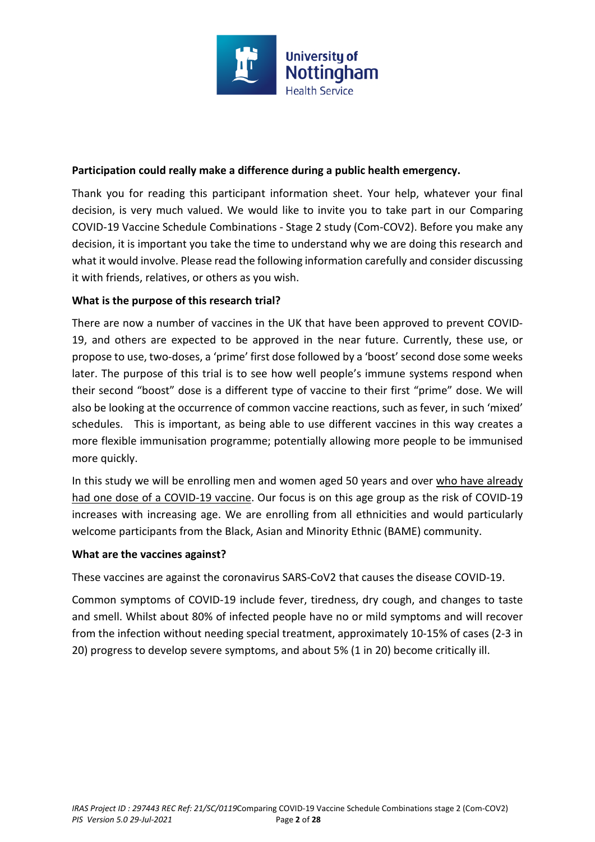

# **Participation could really make a difference during a public health emergency.**

Thank you for reading this participant information sheet. Your help, whatever your final decision, is very much valued. We would like to invite you to take part in our Comparing COVID-19 Vaccine Schedule Combinations - Stage 2 study (Com-COV2). Before you make any decision, it is important you take the time to understand why we are doing this research and what it would involve. Please read the following information carefully and consider discussing it with friends, relatives, or others as you wish.

# **What is the purpose of this research trial?**

There are now a number of vaccines in the UK that have been approved to prevent COVID-19, and others are expected to be approved in the near future. Currently, these use, or propose to use, two-doses, a 'prime' first dose followed by a 'boost' second dose some weeks later. The purpose of this trial is to see how well people's immune systems respond when their second "boost" dose is a different type of vaccine to their first "prime" dose. We will also be looking at the occurrence of common vaccine reactions, such as fever, in such 'mixed' schedules. This is important, as being able to use different vaccines in this way creates a more flexible immunisation programme; potentially allowing more people to be immunised more quickly.

In this study we will be enrolling men and women aged 50 years and over who have already had one dose of a COVID-19 vaccine. Our focus is on this age group as the risk of COVID-19 increases with increasing age. We are enrolling from all ethnicities and would particularly welcome participants from the Black, Asian and Minority Ethnic (BAME) community.

# **What are the vaccines against?**

These vaccines are against the coronavirus SARS-CoV2 that causes the disease COVID-19.

Common symptoms of COVID-19 include fever, tiredness, dry cough, and changes to taste and smell. Whilst about 80% of infected people have no or mild symptoms and will recover from the infection without needing special treatment, approximately 10-15% of cases (2-3 in 20) progress to develop severe symptoms, and about 5% (1 in 20) become critically ill.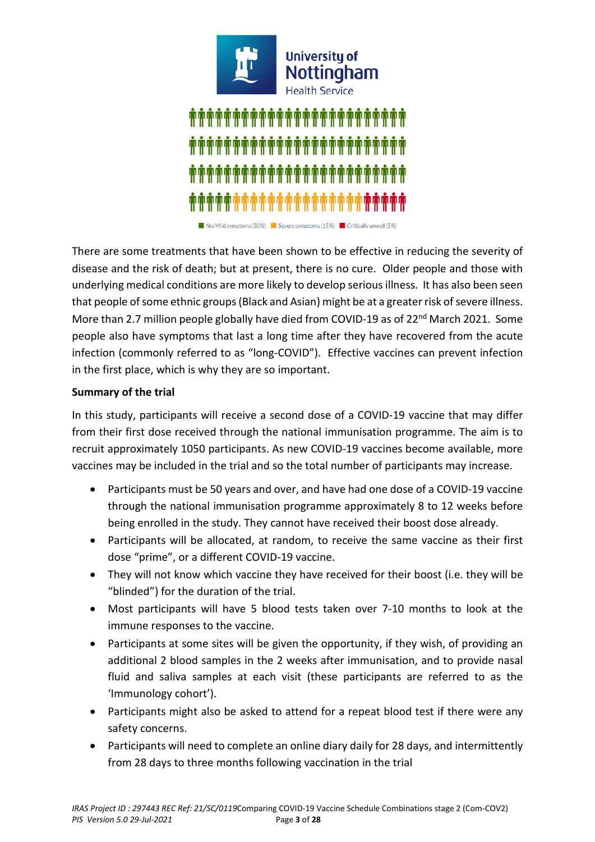

No/Mild symptoms (80%) Severe symptoms (15%) Critically unwell (5%)

There are some treatments that have been shown to be effective in reducing the severity of disease and the risk of death; but at present, there is no cure. Older people and those with underlying medical conditions are more likely to develop serious illness. It has also been seen that people of some ethnic groups (Black and Asian) might be at a greater risk of severe illness. More than 2.7 million people globally have died from COVID-19 as of 22<sup>nd</sup> March 2021. Some people also have symptoms that last a long time after they have recovered from the acute infection (commonly referred to as "long-COVID"). Effective vaccines can prevent infection in the first place, which is why they are so important.

## **Summary of the trial**

In this study, participants will receive a second dose of a COVID-19 vaccine that may differ from their first dose received through the national immunisation programme. The aim is to recruit approximately 1050 participants. As new COVID-19 vaccines become available, more vaccines may be included in the trial and so the total number of participants may increase.

- Participants must be 50 years and over, and have had one dose of a COVID-19 vaccine through the national immunisation programme approximately 8 to 12 weeks before being enrolled in the study. They cannot have received their boost dose already.
- Participants will be allocated, at random, to receive the same vaccine as their first dose "prime", or a different COVID-19 vaccine.
- They will not know which vaccine they have received for their boost (i.e. they will be "blinded") for the duration of the trial.
- Most participants will have 5 blood tests taken over 7-10 months to look at the immune responses to the vaccine.
- Participants at some sites will be given the opportunity, if they wish, of providing an additional 2 blood samples in the 2 weeks after immunisation, and to provide nasal fluid and saliva samples at each visit (these participants are referred to as the 'Immunology cohort').
- Participants might also be asked to attend for a repeat blood test if there were any safety concerns.
- Participants will need to complete an online diary daily for 28 days, and intermittently from 28 days to three months following vaccination in the trial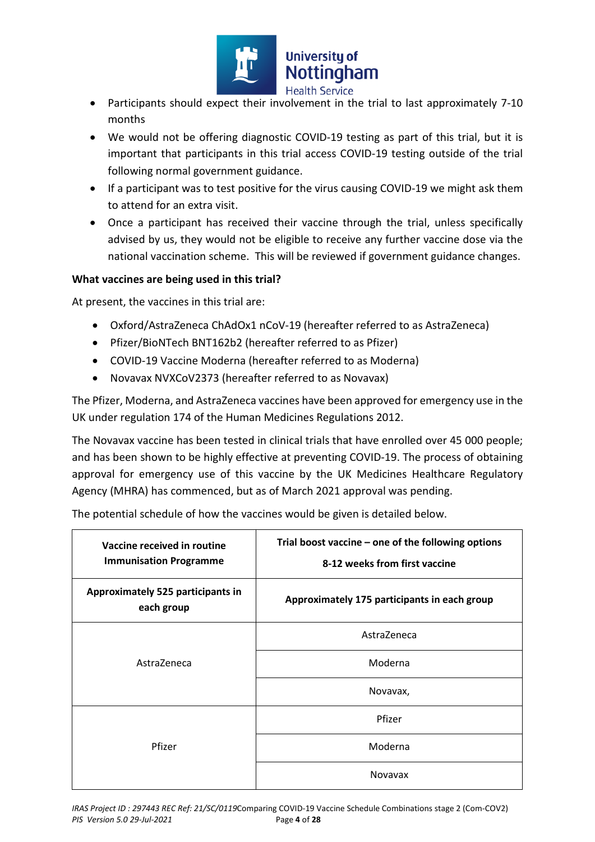

- Participants should expect their involvement in the trial to last approximately 7-10 months
- We would not be offering diagnostic COVID-19 testing as part of this trial, but it is important that participants in this trial access COVID-19 testing outside of the trial following normal government guidance.
- If a participant was to test positive for the virus causing COVID-19 we might ask them to attend for an extra visit.
- Once a participant has received their vaccine through the trial, unless specifically advised by us, they would not be eligible to receive any further vaccine dose via the national vaccination scheme. This will be reviewed if government guidance changes.

## **What vaccines are being used in this trial?**

At present, the vaccines in this trial are:

- Oxford/AstraZeneca ChAdOx1 nCoV-19 (hereafter referred to as AstraZeneca)
- Pfizer/BioNTech BNT162b2 (hereafter referred to as Pfizer)
- COVID-19 Vaccine Moderna (hereafter referred to as Moderna)
- Novavax NVXCoV2373 (hereafter referred to as Novavax)

The Pfizer, Moderna, and AstraZeneca vaccines have been approved for emergency use in the UK under regulation 174 of the Human Medicines Regulations 2012.

The Novavax vaccine has been tested in clinical trials that have enrolled over 45 000 people; and has been shown to be highly effective at preventing COVID-19. The process of obtaining approval for emergency use of this vaccine by the UK Medicines Healthcare Regulatory Agency (MHRA) has commenced, but as of March 2021 approval was pending.

| Vaccine received in routine<br><b>Immunisation Programme</b> | Trial boost vaccine – one of the following options<br>8-12 weeks from first vaccine |
|--------------------------------------------------------------|-------------------------------------------------------------------------------------|
| Approximately 525 participants in<br>each group              | Approximately 175 participants in each group                                        |
|                                                              | AstraZeneca                                                                         |
| AstraZeneca                                                  | Moderna                                                                             |
|                                                              | Novavax,                                                                            |
|                                                              | Pfizer                                                                              |
| Pfizer                                                       | Moderna                                                                             |
|                                                              | <b>Novavax</b>                                                                      |

The potential schedule of how the vaccines would be given is detailed below.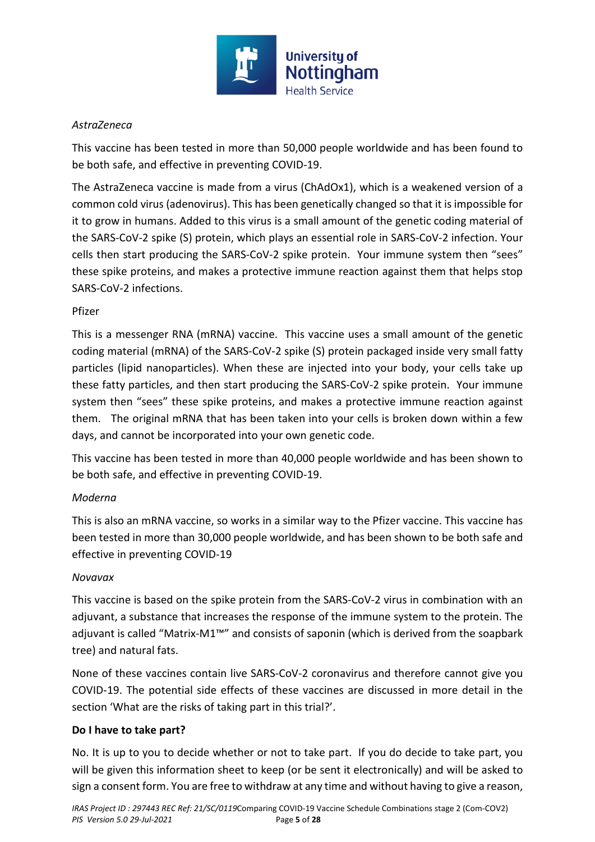

# *AstraZeneca*

This vaccine has been tested in more than 50,000 people worldwide and has been found to be both safe, and effective in preventing COVID-19.

The AstraZeneca vaccine is made from a virus (ChAdOx1), which is a weakened version of a common cold virus (adenovirus). This has been genetically changed so that it is impossible for it to grow in humans. Added to this virus is a small amount of the genetic coding material of the SARS-CoV-2 spike (S) protein, which plays an essential role in SARS-CoV-2 infection. Your cells then start producing the SARS-CoV-2 spike protein. Your immune system then "sees" these spike proteins, and makes a protective immune reaction against them that helps stop SARS-CoV-2 infections.

# Pfizer

This is a messenger RNA (mRNA) vaccine. This vaccine uses a small amount of the genetic coding material (mRNA) of the SARS-CoV-2 spike (S) protein packaged inside very small fatty particles (lipid nanoparticles). When these are injected into your body, your cells take up these fatty particles, and then start producing the SARS-CoV-2 spike protein. Your immune system then "sees" these spike proteins, and makes a protective immune reaction against them. The original mRNA that has been taken into your cells is broken down within a few days, and cannot be incorporated into your own genetic code.

This vaccine has been tested in more than 40,000 people worldwide and has been shown to be both safe, and effective in preventing COVID-19.

# *Moderna*

This is also an mRNA vaccine, so works in a similar way to the Pfizer vaccine. This vaccine has been tested in more than 30,000 people worldwide, and has been shown to be both safe and effective in preventing COVID-19

# *Novavax*

This vaccine is based on the spike protein from the SARS-CoV-2 virus in combination with an adjuvant, a substance that increases the response of the immune system to the protein. The adjuvant is called "Matrix-M1™" and consists of saponin (which is derived from the soapbark tree) and natural fats.

None of these vaccines contain live SARS-CoV-2 coronavirus and therefore cannot give you COVID-19. The potential side effects of these vaccines are discussed in more detail in the section 'What are the risks of taking part in this trial?'.

# **Do I have to take part?**

No. It is up to you to decide whether or not to take part. If you do decide to take part, you will be given this information sheet to keep (or be sent it electronically) and will be asked to sign a consent form. You are free to withdraw at any time and without having to give a reason,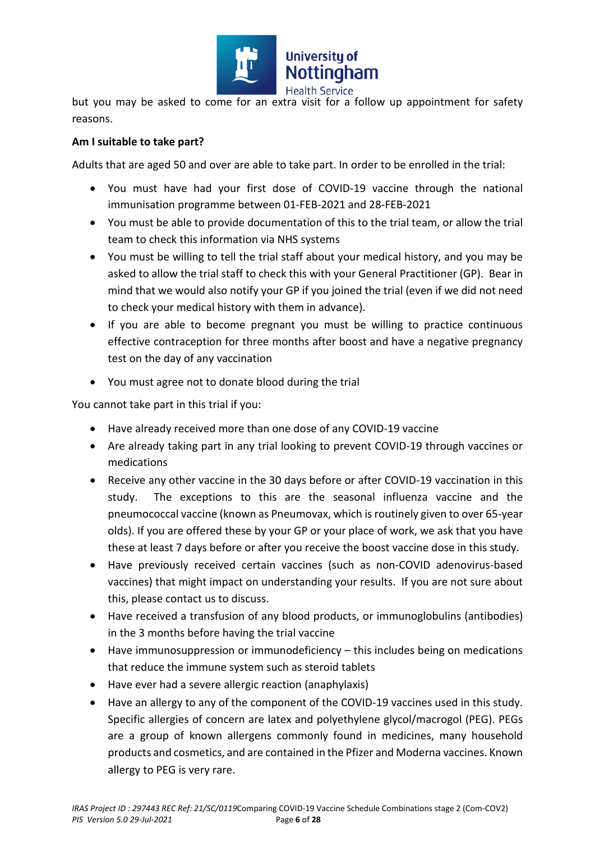

but you may be asked to come for an extra visit for a follow up appointment for safety reasons.

# **Am I suitable to take part?**

Adults that are aged 50 and over are able to take part. In order to be enrolled in the trial:

- You must have had your first dose of COVID-19 vaccine through the national immunisation programme between 01-FEB-2021 and 28-FEB-2021
- You must be able to provide documentation of this to the trial team, or allow the trial team to check this information via NHS systems
- You must be willing to tell the trial staff about your medical history, and you may be asked to allow the trial staff to check this with your General Practitioner (GP). Bear in mind that we would also notify your GP if you joined the trial (even if we did not need to check your medical history with them in advance).
- If you are able to become pregnant you must be willing to practice continuous effective contraception for three months after boost and have a negative pregnancy test on the day of any vaccination
- You must agree not to donate blood during the trial

You cannot take part in this trial if you:

- Have already received more than one dose of any COVID-19 vaccine
- Are already taking part in any trial looking to prevent COVID-19 through vaccines or medications
- Receive any other vaccine in the 30 days before or after COVID-19 vaccination in this study. The exceptions to this are the seasonal influenza vaccine and the pneumococcal vaccine (known as Pneumovax, which is routinely given to over 65-year olds). If you are offered these by your GP or your place of work, we ask that you have these at least 7 days before or after you receive the boost vaccine dose in this study.
- Have previously received certain vaccines (such as non-COVID adenovirus-based vaccines) that might impact on understanding your results. If you are not sure about this, please contact us to discuss.
- Have received a transfusion of any blood products, or immunoglobulins (antibodies) in the 3 months before having the trial vaccine
- Have immunosuppression or immunodeficiency this includes being on medications that reduce the immune system such as steroid tablets
- Have ever had a severe allergic reaction (anaphylaxis)
- Have an allergy to any of the component of the COVID-19 vaccines used in this study. Specific allergies of concern are latex and polyethylene glycol/macrogol (PEG). PEGs are a group of known allergens commonly found in medicines, many household products and cosmetics, and are contained in the Pfizer and Moderna vaccines. Known allergy to PEG is very rare.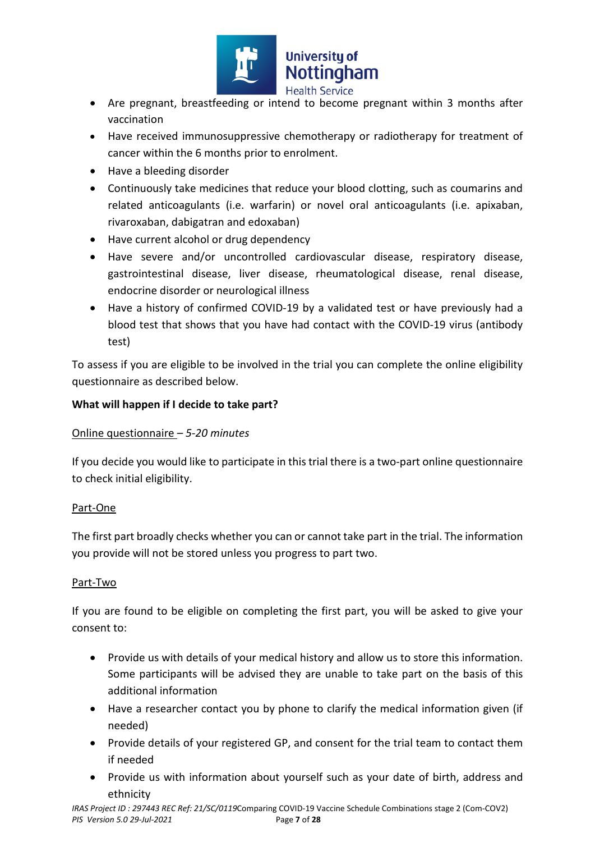

- Are pregnant, breastfeeding or intend to become pregnant within 3 months after vaccination
- Have received immunosuppressive chemotherapy or radiotherapy for treatment of cancer within the 6 months prior to enrolment.
- Have a bleeding disorder
- Continuously take medicines that reduce your blood clotting, such as coumarins and related anticoagulants (i.e. warfarin) or novel oral anticoagulants (i.e. apixaban, rivaroxaban, dabigatran and edoxaban)
- Have current alcohol or drug dependency
- Have severe and/or uncontrolled cardiovascular disease, respiratory disease, gastrointestinal disease, liver disease, rheumatological disease, renal disease, endocrine disorder or neurological illness
- Have a history of confirmed COVID-19 by a validated test or have previously had a blood test that shows that you have had contact with the COVID-19 virus (antibody test)

To assess if you are eligible to be involved in the trial you can complete the online eligibility questionnaire as described below.

# **What will happen if I decide to take part?**

# Online questionnaire *– 5-20 minutes*

If you decide you would like to participate in this trial there is a two-part online questionnaire to check initial eligibility.

# Part-One

The first part broadly checks whether you can or cannot take part in the trial. The information you provide will not be stored unless you progress to part two.

# Part-Two

If you are found to be eligible on completing the first part, you will be asked to give your consent to:

- Provide us with details of your medical history and allow us to store this information. Some participants will be advised they are unable to take part on the basis of this additional information
- Have a researcher contact you by phone to clarify the medical information given (if needed)
- Provide details of your registered GP, and consent for the trial team to contact them if needed
- Provide us with information about yourself such as your date of birth, address and ethnicity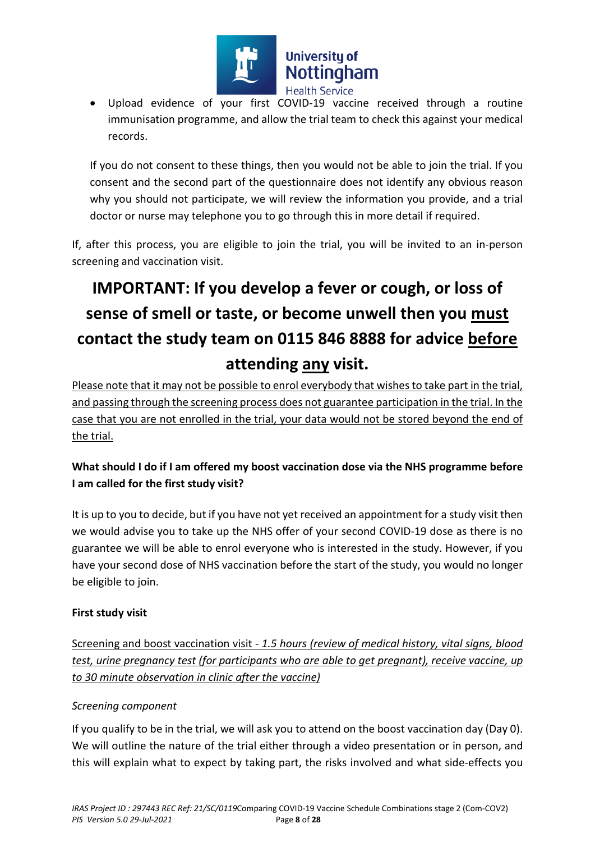

 Upload evidence of your first COVID-19 vaccine received through a routine immunisation programme, and allow the trial team to check this against your medical records.

If you do not consent to these things, then you would not be able to join the trial. If you consent and the second part of the questionnaire does not identify any obvious reason why you should not participate, we will review the information you provide, and a trial doctor or nurse may telephone you to go through this in more detail if required.

If, after this process, you are eligible to join the trial, you will be invited to an in-person screening and vaccination visit.

# **IMPORTANT: If you develop a fever or cough, or loss of sense of smell or taste, or become unwell then you must contact the study team on 0115 846 8888 for advice before attending any visit.**

Please note that it may not be possible to enrol everybody that wishes to take part in the trial, and passing through the screening process does not guarantee participation in the trial. In the case that you are not enrolled in the trial, your data would not be stored beyond the end of the trial.

# **What should I do if I am offered my boost vaccination dose via the NHS programme before I am called for the first study visit?**

It is up to you to decide, but if you have not yet received an appointment for a study visit then we would advise you to take up the NHS offer of your second COVID-19 dose as there is no guarantee we will be able to enrol everyone who is interested in the study. However, if you have your second dose of NHS vaccination before the start of the study, you would no longer be eligible to join.

# **First study visit**

Screening and boost vaccination visit - *1.5 hours (review of medical history, vital signs, blood test, urine pregnancy test (for participants who are able to get pregnant), receive vaccine, up to 30 minute observation in clinic after the vaccine)* 

# *Screening component*

If you qualify to be in the trial, we will ask you to attend on the boost vaccination day (Day 0). We will outline the nature of the trial either through a video presentation or in person, and this will explain what to expect by taking part, the risks involved and what side-effects you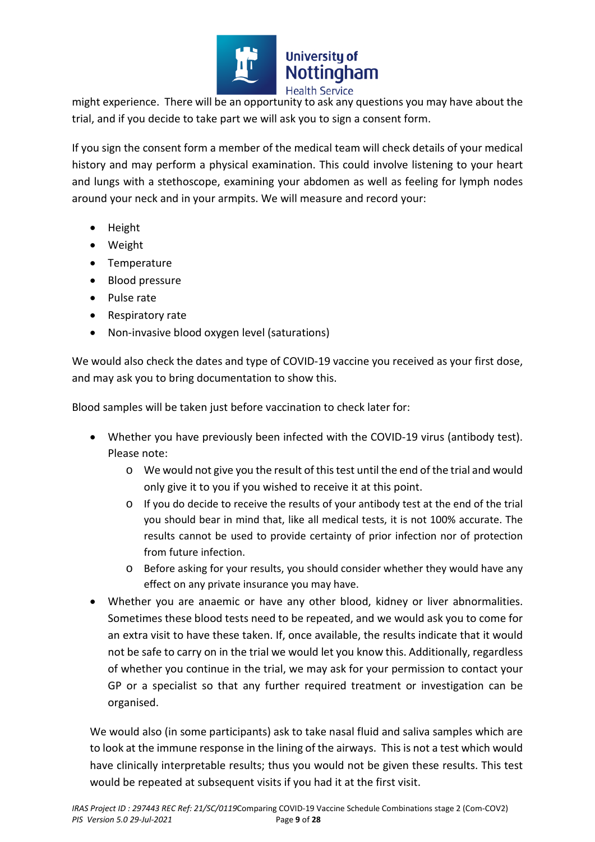

might experience. There will be an opportunity to ask any questions you may have about the trial, and if you decide to take part we will ask you to sign a consent form.

If you sign the consent form a member of the medical team will check details of your medical history and may perform a physical examination. This could involve listening to your heart and lungs with a stethoscope, examining your abdomen as well as feeling for lymph nodes around your neck and in your armpits. We will measure and record your:

- Height
- Weight
- Temperature
- Blood pressure
- Pulse rate
- Respiratory rate
- Non-invasive blood oxygen level (saturations)

We would also check the dates and type of COVID-19 vaccine you received as your first dose, and may ask you to bring documentation to show this.

Blood samples will be taken just before vaccination to check later for:

- Whether you have previously been infected with the COVID-19 virus (antibody test). Please note:
	- o We would not give you the result of this test until the end of the trial and would only give it to you if you wished to receive it at this point.
	- o If you do decide to receive the results of your antibody test at the end of the trial you should bear in mind that, like all medical tests, it is not 100% accurate. The results cannot be used to provide certainty of prior infection nor of protection from future infection.
	- o Before asking for your results, you should consider whether they would have any effect on any private insurance you may have.
- Whether you are anaemic or have any other blood, kidney or liver abnormalities. Sometimes these blood tests need to be repeated, and we would ask you to come for an extra visit to have these taken. If, once available, the results indicate that it would not be safe to carry on in the trial we would let you know this. Additionally, regardless of whether you continue in the trial, we may ask for your permission to contact your GP or a specialist so that any further required treatment or investigation can be organised.

We would also (in some participants) ask to take nasal fluid and saliva samples which are to look at the immune response in the lining of the airways. This is not a test which would have clinically interpretable results; thus you would not be given these results. This test would be repeated at subsequent visits if you had it at the first visit.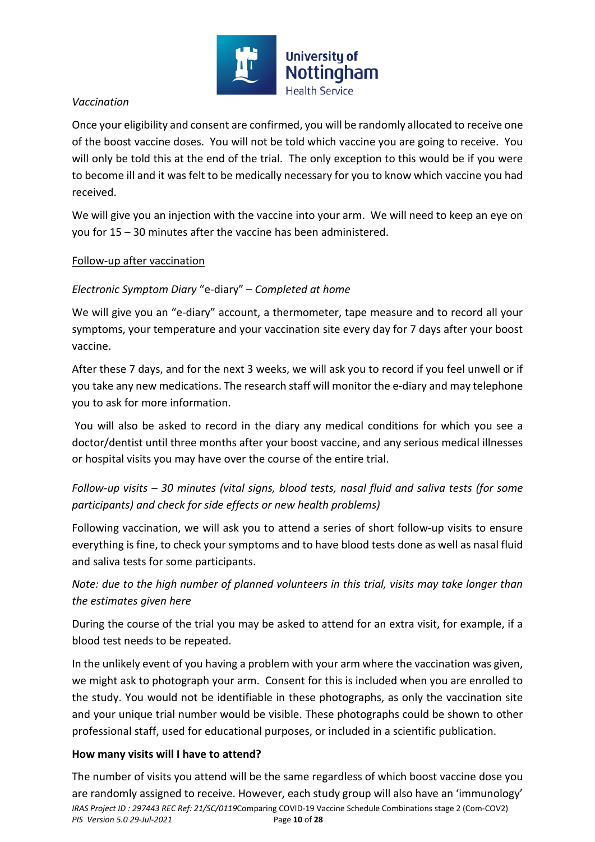

# *Vaccination*

Once your eligibility and consent are confirmed, you will be randomly allocated to receive one of the boost vaccine doses. You will not be told which vaccine you are going to receive. You will only be told this at the end of the trial. The only exception to this would be if you were to become ill and it was felt to be medically necessary for you to know which vaccine you had received.

We will give you an injection with the vaccine into your arm. We will need to keep an eye on you for 15 – 30 minutes after the vaccine has been administered.

# Follow-up after vaccination

# *Electronic Symptom Diary* "e-diary" – *Completed at home*

We will give you an "e-diary" account, a thermometer, tape measure and to record all your symptoms, your temperature and your vaccination site every day for 7 days after your boost vaccine.

After these 7 days, and for the next 3 weeks, we will ask you to record if you feel unwell or if you take any new medications. The research staff will monitor the e-diary and may telephone you to ask for more information.

 You will also be asked to record in the diary any medical conditions for which you see a doctor/dentist until three months after your boost vaccine, and any serious medical illnesses or hospital visits you may have over the course of the entire trial.

*Follow-up visits – 30 minutes (vital signs, blood tests, nasal fluid and saliva tests (for some participants) and check for side effects or new health problems)*

Following vaccination, we will ask you to attend a series of short follow-up visits to ensure everything is fine, to check your symptoms and to have blood tests done as well as nasal fluid and saliva tests for some participants.

# *Note: due to the high number of planned volunteers in this trial, visits may take longer than the estimates given here*

During the course of the trial you may be asked to attend for an extra visit, for example, if a blood test needs to be repeated.

In the unlikely event of you having a problem with your arm where the vaccination was given, we might ask to photograph your arm. Consent for this is included when you are enrolled to the study. You would not be identifiable in these photographs, as only the vaccination site and your unique trial number would be visible. These photographs could be shown to other professional staff, used for educational purposes, or included in a scientific publication.

# **How many visits will I have to attend?**

*IRAS Project ID : 297443 REC Ref: 21/SC/0119*Comparing COVID-19 Vaccine Schedule Combinations stage 2 (Com-COV2) *PIS Version 5.0 29-Jul-2021* Page **10** of **28** The number of visits you attend will be the same regardless of which boost vaccine dose you are randomly assigned to receive. However, each study group will also have an 'immunology'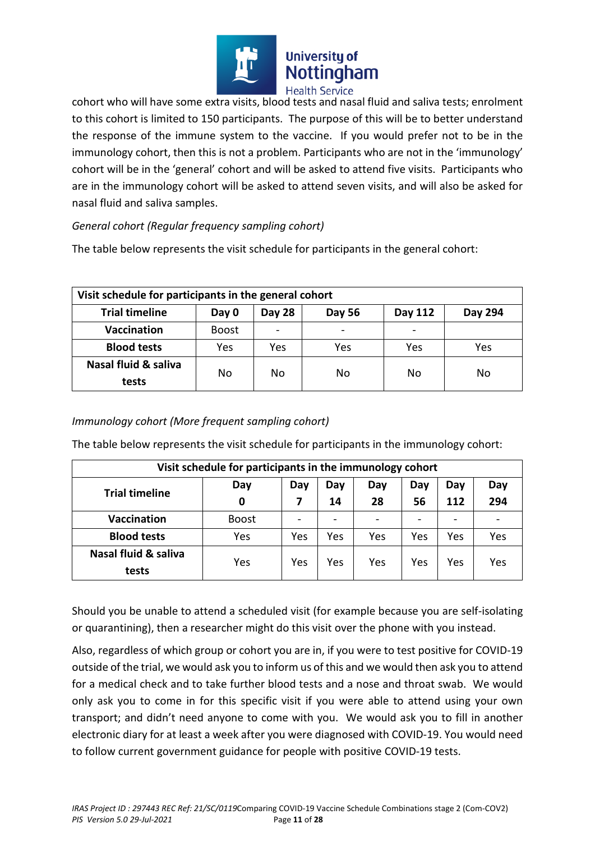

cohort who will have some extra visits, blood tests and nasal fluid and saliva tests; enrolment to this cohort is limited to 150 participants. The purpose of this will be to better understand the response of the immune system to the vaccine. If you would prefer not to be in the immunology cohort, then this is not a problem. Participants who are not in the 'immunology' cohort will be in the 'general' cohort and will be asked to attend five visits. Participants who are in the immunology cohort will be asked to attend seven visits, and will also be asked for nasal fluid and saliva samples.

# *General cohort (Regular frequency sampling cohort)*

The table below represents the visit schedule for participants in the general cohort:

| Visit schedule for participants in the general cohort |              |        |        |         |         |
|-------------------------------------------------------|--------------|--------|--------|---------|---------|
| <b>Trial timeline</b>                                 | Day 0        | Day 28 | Day 56 | Day 112 | Day 294 |
| <b>Vaccination</b>                                    | <b>Boost</b> |        |        |         |         |
| <b>Blood tests</b>                                    | Yes          | Yes    | Yes    | Yes     | Yes     |
| Nasal fluid & saliva<br>tests                         | No           | No     | No     | No      | No      |

# *Immunology cohort (More frequent sampling cohort)*

The table below represents the visit schedule for participants in the immunology cohort:

| Visit schedule for participants in the immunology cohort |              |     |     |     |     |     |     |
|----------------------------------------------------------|--------------|-----|-----|-----|-----|-----|-----|
| <b>Trial timeline</b>                                    | Day          | Day | Day | Day | Day | Day | Day |
|                                                          | 0            |     | 14  | 28  | 56  | 112 | 294 |
| <b>Vaccination</b>                                       | <b>Boost</b> |     |     |     |     |     |     |
| <b>Blood tests</b>                                       | Yes          | Yes | Yes | Yes | Yes | Yes | Yes |
| Nasal fluid & saliva                                     | Yes          | Yes | Yes | Yes | Yes | Yes | Yes |
| tests                                                    |              |     |     |     |     |     |     |

Should you be unable to attend a scheduled visit (for example because you are self-isolating or quarantining), then a researcher might do this visit over the phone with you instead.

Also, regardless of which group or cohort you are in, if you were to test positive for COVID-19 outside of the trial, we would ask you to inform us of this and we would then ask you to attend for a medical check and to take further blood tests and a nose and throat swab. We would only ask you to come in for this specific visit if you were able to attend using your own transport; and didn't need anyone to come with you. We would ask you to fill in another electronic diary for at least a week after you were diagnosed with COVID-19. You would need to follow current government guidance for people with positive COVID-19 tests.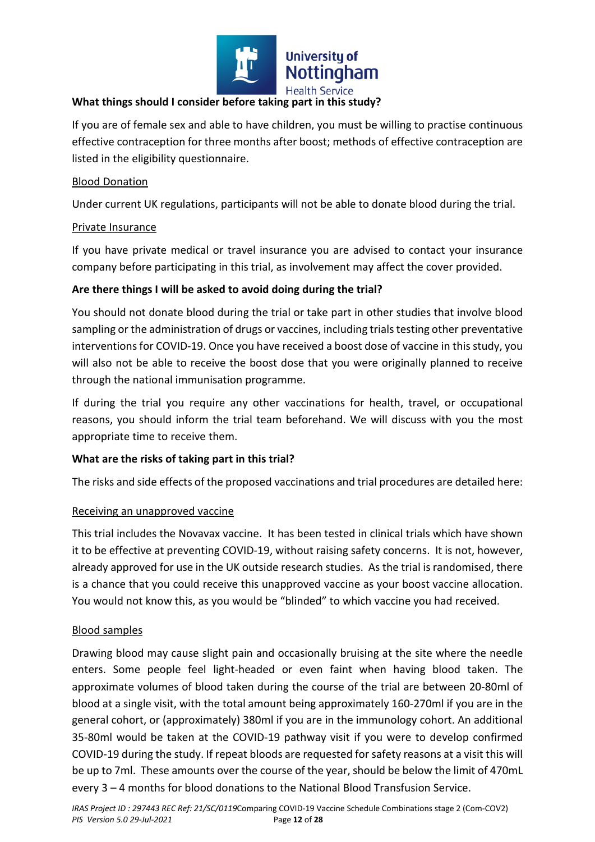

## **What things should I consider before taking part in this study?**

If you are of female sex and able to have children, you must be willing to practise continuous effective contraception for three months after boost; methods of effective contraception are listed in the eligibility questionnaire.

#### Blood Donation

Under current UK regulations, participants will not be able to donate blood during the trial.

## Private Insurance

If you have private medical or travel insurance you are advised to contact your insurance company before participating in this trial, as involvement may affect the cover provided.

# **Are there things I will be asked to avoid doing during the trial?**

You should not donate blood during the trial or take part in other studies that involve blood sampling or the administration of drugs or vaccines, including trials testing other preventative interventions for COVID-19. Once you have received a boost dose of vaccine in this study, you will also not be able to receive the boost dose that you were originally planned to receive through the national immunisation programme.

If during the trial you require any other vaccinations for health, travel, or occupational reasons, you should inform the trial team beforehand. We will discuss with you the most appropriate time to receive them.

# **What are the risks of taking part in this trial?**

The risks and side effects of the proposed vaccinations and trial procedures are detailed here:

# Receiving an unapproved vaccine

This trial includes the Novavax vaccine. It has been tested in clinical trials which have shown it to be effective at preventing COVID-19, without raising safety concerns. It is not, however, already approved for use in the UK outside research studies. As the trial is randomised, there is a chance that you could receive this unapproved vaccine as your boost vaccine allocation. You would not know this, as you would be "blinded" to which vaccine you had received.

# Blood samples

Drawing blood may cause slight pain and occasionally bruising at the site where the needle enters. Some people feel light-headed or even faint when having blood taken. The approximate volumes of blood taken during the course of the trial are between 20-80ml of blood at a single visit, with the total amount being approximately 160-270ml if you are in the general cohort, or (approximately) 380ml if you are in the immunology cohort. An additional 35-80ml would be taken at the COVID-19 pathway visit if you were to develop confirmed COVID-19 during the study. If repeat bloods are requested for safety reasons at a visit this will be up to 7ml. These amounts over the course of the year, should be below the limit of 470mL every 3 – 4 months for blood donations to the National Blood Transfusion Service.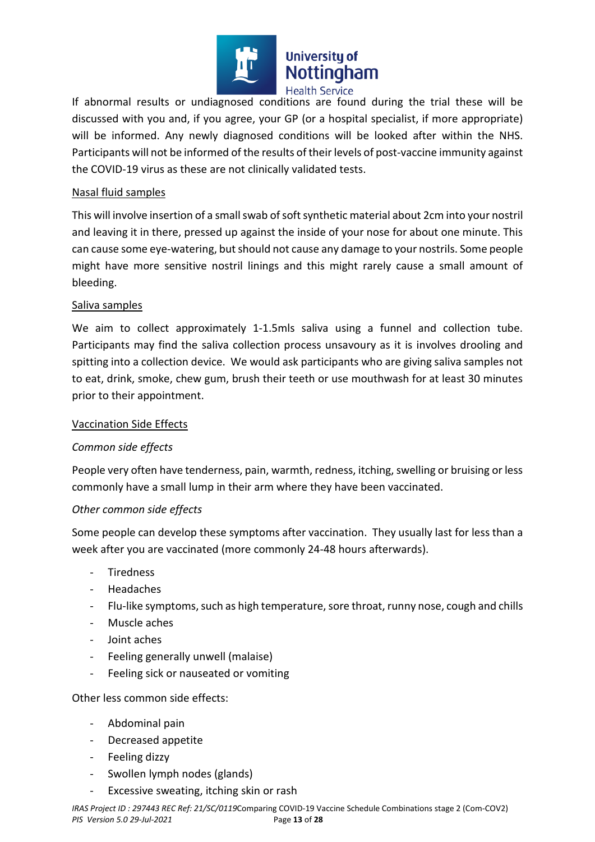

If abnormal results or undiagnosed conditions are found during the trial these will be discussed with you and, if you agree, your GP (or a hospital specialist, if more appropriate) will be informed. Any newly diagnosed conditions will be looked after within the NHS. Participants will not be informed of the results of their levels of post-vaccine immunity against the COVID-19 virus as these are not clinically validated tests.

## Nasal fluid samples

This will involve insertion of a small swab of soft synthetic material about 2cm into your nostril and leaving it in there, pressed up against the inside of your nose for about one minute. This can cause some eye-watering, but should not cause any damage to your nostrils. Some people might have more sensitive nostril linings and this might rarely cause a small amount of bleeding.

## Saliva samples

We aim to collect approximately 1-1.5mls saliva using a funnel and collection tube. Participants may find the saliva collection process unsavoury as it is involves drooling and spitting into a collection device. We would ask participants who are giving saliva samples not to eat, drink, smoke, chew gum, brush their teeth or use mouthwash for at least 30 minutes prior to their appointment.

#### Vaccination Side Effects

# *Common side effects*

People very often have tenderness, pain, warmth, redness, itching, swelling or bruising or less commonly have a small lump in their arm where they have been vaccinated.

#### *Other common side effects*

Some people can develop these symptoms after vaccination. They usually last for less than a week after you are vaccinated (more commonly 24-48 hours afterwards).

- **Tiredness**
- **Headaches**
- Flu-like symptoms, such as high temperature, sore throat, runny nose, cough and chills
- Muscle aches
- Joint aches
- Feeling generally unwell (malaise)
- Feeling sick or nauseated or vomiting

Other less common side effects:

- Abdominal pain
- Decreased appetite
- Feeling dizzy
- Swollen lymph nodes (glands)
- Excessive sweating, itching skin or rash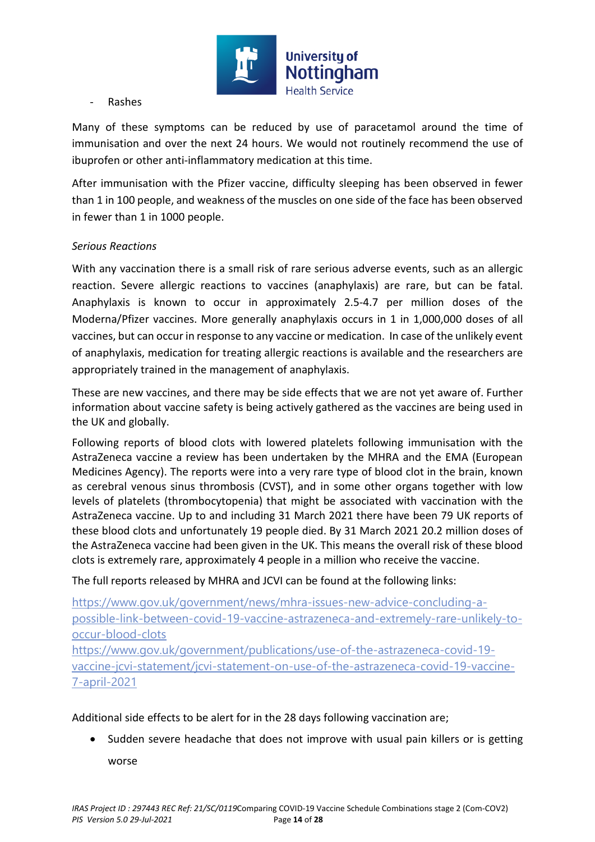

#### - Rashes

Many of these symptoms can be reduced by use of paracetamol around the time of immunisation and over the next 24 hours. We would not routinely recommend the use of ibuprofen or other anti-inflammatory medication at this time.

After immunisation with the Pfizer vaccine, difficulty sleeping has been observed in fewer than 1 in 100 people, and weakness of the muscles on one side of the face has been observed in fewer than 1 in 1000 people.

# *Serious Reactions*

With any vaccination there is a small risk of rare serious adverse events, such as an allergic reaction. Severe allergic reactions to vaccines (anaphylaxis) are rare, but can be fatal. Anaphylaxis is known to occur in approximately 2.5-4.7 per million doses of the Moderna/Pfizer vaccines. More generally anaphylaxis occurs in 1 in 1,000,000 doses of all vaccines, but can occur in response to any vaccine or medication. In case of the unlikely event of anaphylaxis, medication for treating allergic reactions is available and the researchers are appropriately trained in the management of anaphylaxis.

These are new vaccines, and there may be side effects that we are not yet aware of. Further information about vaccine safety is being actively gathered as the vaccines are being used in the UK and globally.

Following reports of blood clots with lowered platelets following immunisation with the AstraZeneca vaccine a review has been undertaken by the MHRA and the EMA (European Medicines Agency). The reports were into a very rare type of blood clot in the brain, known as cerebral venous sinus thrombosis (CVST), and in some other organs together with low levels of platelets (thrombocytopenia) that might be associated with vaccination with the AstraZeneca vaccine. Up to and including 31 March 2021 there have been 79 UK reports of these blood clots and unfortunately 19 people died. By 31 March 2021 20.2 million doses of the AstraZeneca vaccine had been given in the UK. This means the overall risk of these blood clots is extremely rare, approximately 4 people in a million who receive the vaccine.

The full reports released by MHRA and JCVI can be found at the following links:

https://www.gov.uk/government/news/mhra-issues-new-advice-concluding-apossible-link-between-covid-19-vaccine-astrazeneca-and-extremely-rare-unlikely-tooccur-blood-clots

https://www.gov.uk/government/publications/use-of-the-astrazeneca-covid-19 vaccine-jcvi-statement/jcvi-statement-on-use-of-the-astrazeneca-covid-19-vaccine-7-april-2021

# Additional side effects to be alert for in the 28 days following vaccination are;

 Sudden severe headache that does not improve with usual pain killers or is getting worse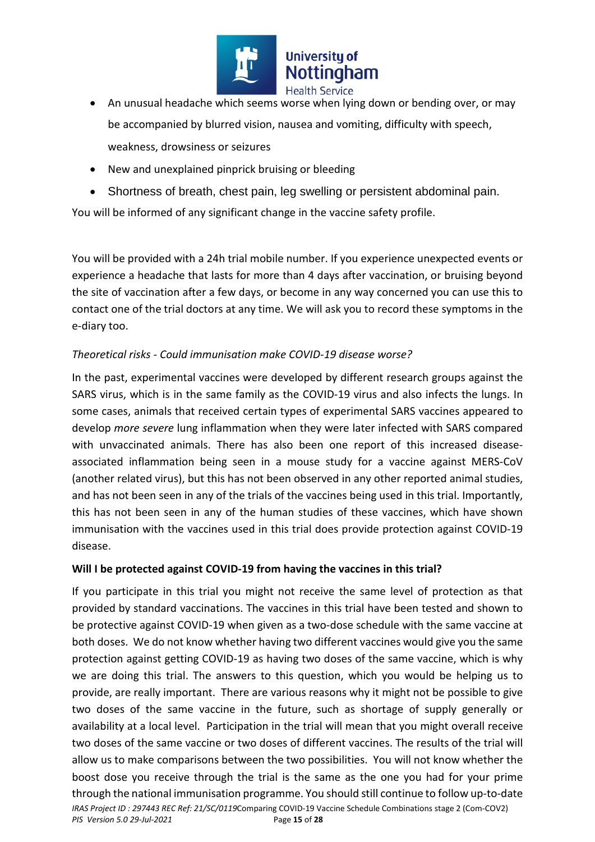

- An unusual headache which seems worse when lying down or bending over, or may be accompanied by blurred vision, nausea and vomiting, difficulty with speech, weakness, drowsiness or seizures
- New and unexplained pinprick bruising or bleeding
- Shortness of breath, chest pain, leg swelling or persistent abdominal pain.

You will be informed of any significant change in the vaccine safety profile.

You will be provided with a 24h trial mobile number. If you experience unexpected events or experience a headache that lasts for more than 4 days after vaccination, or bruising beyond the site of vaccination after a few days, or become in any way concerned you can use this to contact one of the trial doctors at any time. We will ask you to record these symptoms in the e-diary too.

# *Theoretical risks - Could immunisation make COVID-19 disease worse?*

In the past, experimental vaccines were developed by different research groups against the SARS virus, which is in the same family as the COVID-19 virus and also infects the lungs. In some cases, animals that received certain types of experimental SARS vaccines appeared to develop *more severe* lung inflammation when they were later infected with SARS compared with unvaccinated animals. There has also been one report of this increased diseaseassociated inflammation being seen in a mouse study for a vaccine against MERS-CoV (another related virus), but this has not been observed in any other reported animal studies, and has not been seen in any of the trials of the vaccines being used in this trial. Importantly, this has not been seen in any of the human studies of these vaccines, which have shown immunisation with the vaccines used in this trial does provide protection against COVID-19 disease.

# **Will I be protected against COVID-19 from having the vaccines in this trial?**

*IRAS Project ID : 297443 REC Ref: 21/SC/0119*Comparing COVID-19 Vaccine Schedule Combinations stage 2 (Com-COV2) *PIS Version 5.0 29-Jul-2021* Page **15** of **28** If you participate in this trial you might not receive the same level of protection as that provided by standard vaccinations. The vaccines in this trial have been tested and shown to be protective against COVID-19 when given as a two-dose schedule with the same vaccine at both doses. We do not know whether having two different vaccines would give you the same protection against getting COVID-19 as having two doses of the same vaccine, which is why we are doing this trial. The answers to this question, which you would be helping us to provide, are really important. There are various reasons why it might not be possible to give two doses of the same vaccine in the future, such as shortage of supply generally or availability at a local level. Participation in the trial will mean that you might overall receive two doses of the same vaccine or two doses of different vaccines. The results of the trial will allow us to make comparisons between the two possibilities. You will not know whether the boost dose you receive through the trial is the same as the one you had for your prime through the national immunisation programme. You should still continue to follow up-to-date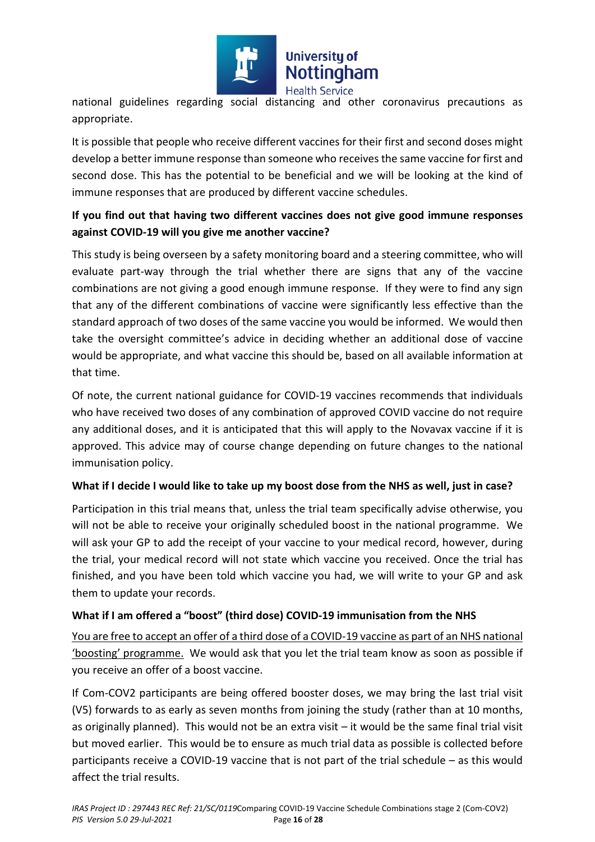

national guidelines regarding social distancing and other coronavirus precautions as appropriate.

It is possible that people who receive different vaccines for their first and second doses might develop a better immune response than someone who receives the same vaccine for first and second dose. This has the potential to be beneficial and we will be looking at the kind of immune responses that are produced by different vaccine schedules.

# **If you find out that having two different vaccines does not give good immune responses against COVID-19 will you give me another vaccine?**

This study is being overseen by a safety monitoring board and a steering committee, who will evaluate part-way through the trial whether there are signs that any of the vaccine combinations are not giving a good enough immune response. If they were to find any sign that any of the different combinations of vaccine were significantly less effective than the standard approach of two doses of the same vaccine you would be informed. We would then take the oversight committee's advice in deciding whether an additional dose of vaccine would be appropriate, and what vaccine this should be, based on all available information at that time.

Of note, the current national guidance for COVID-19 vaccines recommends that individuals who have received two doses of any combination of approved COVID vaccine do not require any additional doses, and it is anticipated that this will apply to the Novavax vaccine if it is approved. This advice may of course change depending on future changes to the national immunisation policy.

# **What if I decide I would like to take up my boost dose from the NHS as well, just in case?**

Participation in this trial means that, unless the trial team specifically advise otherwise, you will not be able to receive your originally scheduled boost in the national programme. We will ask your GP to add the receipt of your vaccine to your medical record, however, during the trial, your medical record will not state which vaccine you received. Once the trial has finished, and you have been told which vaccine you had, we will write to your GP and ask them to update your records.

# **What if I am offered a "boost" (third dose) COVID-19 immunisation from the NHS**

You are free to accept an offer of a third dose of a COVID-19 vaccine as part of an NHS national 'boosting' programme. We would ask that you let the trial team know as soon as possible if you receive an offer of a boost vaccine.

If Com-COV2 participants are being offered booster doses, we may bring the last trial visit (V5) forwards to as early as seven months from joining the study (rather than at 10 months, as originally planned). This would not be an extra visit – it would be the same final trial visit but moved earlier. This would be to ensure as much trial data as possible is collected before participants receive a COVID-19 vaccine that is not part of the trial schedule – as this would affect the trial results.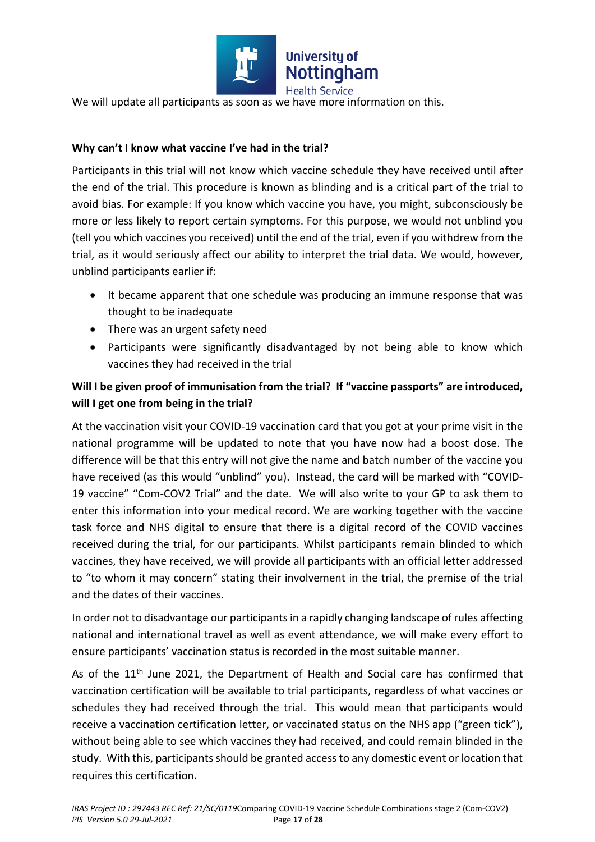

We will update all participants as soon as we have more information on this.

# **Why can't I know what vaccine I've had in the trial?**

Participants in this trial will not know which vaccine schedule they have received until after the end of the trial. This procedure is known as blinding and is a critical part of the trial to avoid bias. For example: If you know which vaccine you have, you might, subconsciously be more or less likely to report certain symptoms. For this purpose, we would not unblind you (tell you which vaccines you received) until the end of the trial, even if you withdrew from the trial, as it would seriously affect our ability to interpret the trial data. We would, however, unblind participants earlier if:

- It became apparent that one schedule was producing an immune response that was thought to be inadequate
- There was an urgent safety need
- Participants were significantly disadvantaged by not being able to know which vaccines they had received in the trial

# **Will I be given proof of immunisation from the trial? If "vaccine passports" are introduced, will I get one from being in the trial?**

At the vaccination visit your COVID-19 vaccination card that you got at your prime visit in the national programme will be updated to note that you have now had a boost dose. The difference will be that this entry will not give the name and batch number of the vaccine you have received (as this would "unblind" you). Instead, the card will be marked with "COVID-19 vaccine" "Com-COV2 Trial" and the date. We will also write to your GP to ask them to enter this information into your medical record. We are working together with the vaccine task force and NHS digital to ensure that there is a digital record of the COVID vaccines received during the trial, for our participants. Whilst participants remain blinded to which vaccines, they have received, we will provide all participants with an official letter addressed to "to whom it may concern" stating their involvement in the trial, the premise of the trial and the dates of their vaccines.

In order not to disadvantage our participants in a rapidly changing landscape of rules affecting national and international travel as well as event attendance, we will make every effort to ensure participants' vaccination status is recorded in the most suitable manner.

As of the  $11<sup>th</sup>$  June 2021, the Department of Health and Social care has confirmed that vaccination certification will be available to trial participants, regardless of what vaccines or schedules they had received through the trial. This would mean that participants would receive a vaccination certification letter, or vaccinated status on the NHS app ("green tick"), without being able to see which vaccines they had received, and could remain blinded in the study. With this, participants should be granted access to any domestic event or location that requires this certification.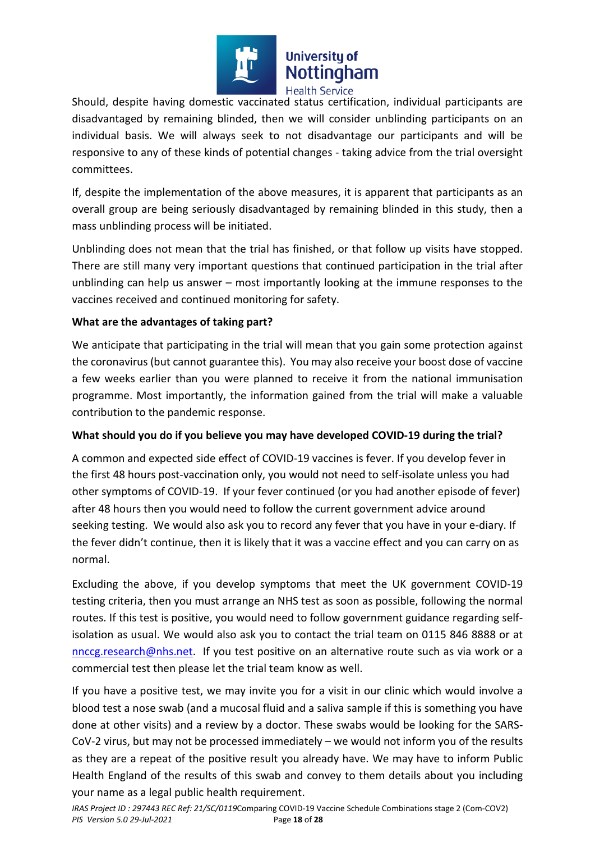

Should, despite having domestic vaccinated status certification, individual participants are disadvantaged by remaining blinded, then we will consider unblinding participants on an individual basis. We will always seek to not disadvantage our participants and will be responsive to any of these kinds of potential changes - taking advice from the trial oversight committees.

If, despite the implementation of the above measures, it is apparent that participants as an overall group are being seriously disadvantaged by remaining blinded in this study, then a mass unblinding process will be initiated.

Unblinding does not mean that the trial has finished, or that follow up visits have stopped. There are still many very important questions that continued participation in the trial after unblinding can help us answer – most importantly looking at the immune responses to the vaccines received and continued monitoring for safety.

# **What are the advantages of taking part?**

We anticipate that participating in the trial will mean that you gain some protection against the coronavirus (but cannot guarantee this). You may also receive your boost dose of vaccine a few weeks earlier than you were planned to receive it from the national immunisation programme. Most importantly, the information gained from the trial will make a valuable contribution to the pandemic response.

#### **What should you do if you believe you may have developed COVID-19 during the trial?**

A common and expected side effect of COVID-19 vaccines is fever. If you develop fever in the first 48 hours post-vaccination only, you would not need to self-isolate unless you had other symptoms of COVID-19. If your fever continued (or you had another episode of fever) after 48 hours then you would need to follow the current government advice around seeking testing. We would also ask you to record any fever that you have in your e-diary. If the fever didn't continue, then it is likely that it was a vaccine effect and you can carry on as normal.

Excluding the above, if you develop symptoms that meet the UK government COVID-19 testing criteria, then you must arrange an NHS test as soon as possible, following the normal routes. If this test is positive, you would need to follow government guidance regarding selfisolation as usual. We would also ask you to contact the trial team on 0115 846 8888 or at nnccg.research@nhs.net. If you test positive on an alternative route such as via work or a commercial test then please let the trial team know as well.

If you have a positive test, we may invite you for a visit in our clinic which would involve a blood test a nose swab (and a mucosal fluid and a saliva sample if this is something you have done at other visits) and a review by a doctor. These swabs would be looking for the SARS-CoV-2 virus, but may not be processed immediately – we would not inform you of the results as they are a repeat of the positive result you already have. We may have to inform Public Health England of the results of this swab and convey to them details about you including your name as a legal public health requirement.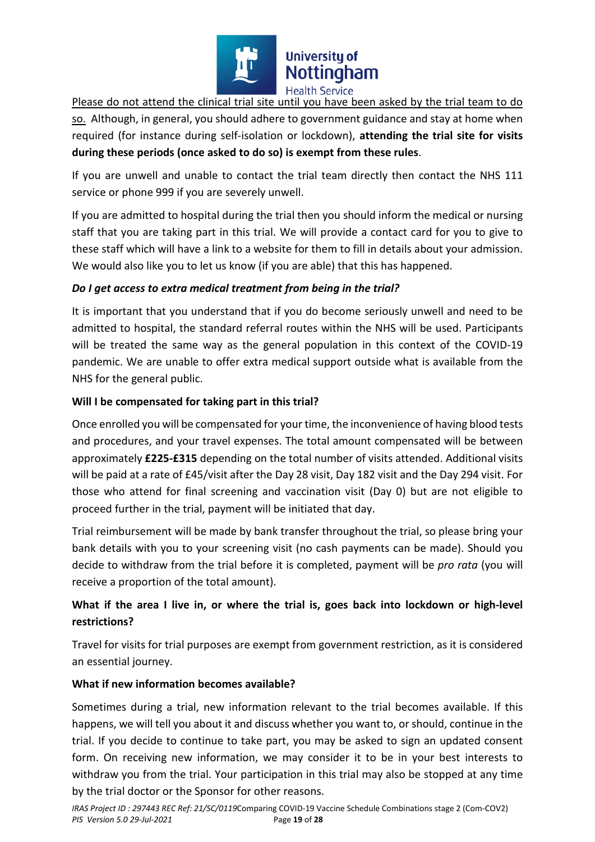

Please do not attend the clinical trial site until you have been asked by the trial team to do so. Although, in general, you should adhere to government guidance and stay at home when required (for instance during self-isolation or lockdown), **attending the trial site for visits during these periods (once asked to do so) is exempt from these rules**.

If you are unwell and unable to contact the trial team directly then contact the NHS 111 service or phone 999 if you are severely unwell.

If you are admitted to hospital during the trial then you should inform the medical or nursing staff that you are taking part in this trial. We will provide a contact card for you to give to these staff which will have a link to a website for them to fill in details about your admission. We would also like you to let us know (if you are able) that this has happened.

# *Do I get access to extra medical treatment from being in the trial?*

It is important that you understand that if you do become seriously unwell and need to be admitted to hospital, the standard referral routes within the NHS will be used. Participants will be treated the same way as the general population in this context of the COVID-19 pandemic. We are unable to offer extra medical support outside what is available from the NHS for the general public.

# **Will I be compensated for taking part in this trial?**

Once enrolled you will be compensated for your time, the inconvenience of having blood tests and procedures, and your travel expenses. The total amount compensated will be between approximately **£225-£315** depending on the total number of visits attended. Additional visits will be paid at a rate of £45/visit after the Day 28 visit, Day 182 visit and the Day 294 visit. For those who attend for final screening and vaccination visit (Day 0) but are not eligible to proceed further in the trial, payment will be initiated that day.

Trial reimbursement will be made by bank transfer throughout the trial, so please bring your bank details with you to your screening visit (no cash payments can be made). Should you decide to withdraw from the trial before it is completed, payment will be *pro rata* (you will receive a proportion of the total amount).

# **What if the area I live in, or where the trial is, goes back into lockdown or high-level restrictions?**

Travel for visits for trial purposes are exempt from government restriction, as it is considered an essential journey.

# **What if new information becomes available?**

Sometimes during a trial, new information relevant to the trial becomes available. If this happens, we will tell you about it and discuss whether you want to, or should, continue in the trial. If you decide to continue to take part, you may be asked to sign an updated consent form. On receiving new information, we may consider it to be in your best interests to withdraw you from the trial. Your participation in this trial may also be stopped at any time by the trial doctor or the Sponsor for other reasons.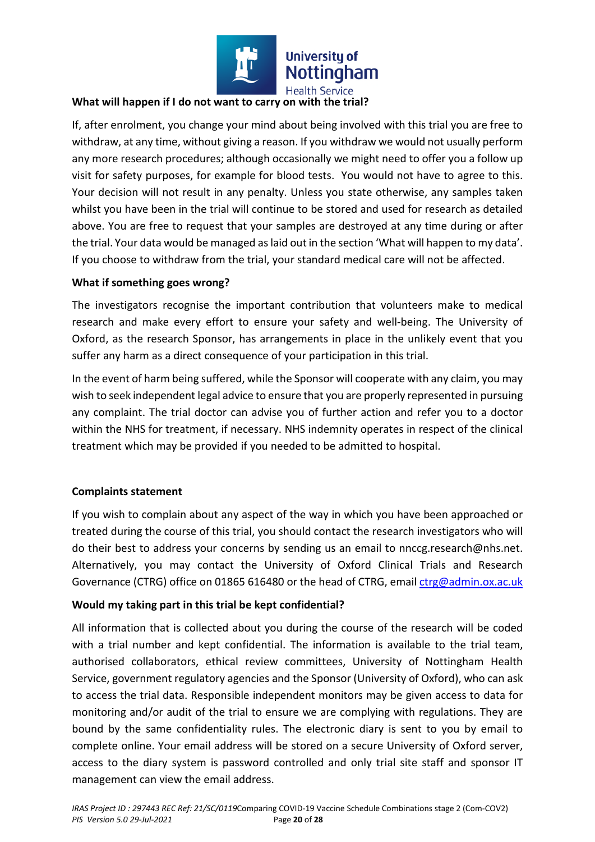

## **What will happen if I do not want to carry on with the trial?**

If, after enrolment, you change your mind about being involved with this trial you are free to withdraw, at any time, without giving a reason. If you withdraw we would not usually perform any more research procedures; although occasionally we might need to offer you a follow up visit for safety purposes, for example for blood tests. You would not have to agree to this. Your decision will not result in any penalty. Unless you state otherwise, any samples taken whilst you have been in the trial will continue to be stored and used for research as detailed above. You are free to request that your samples are destroyed at any time during or after the trial. Your data would be managed as laid out in the section 'What will happen to my data'. If you choose to withdraw from the trial, your standard medical care will not be affected.

#### **What if something goes wrong?**

The investigators recognise the important contribution that volunteers make to medical research and make every effort to ensure your safety and well-being. The University of Oxford, as the research Sponsor, has arrangements in place in the unlikely event that you suffer any harm as a direct consequence of your participation in this trial.

In the event of harm being suffered, while the Sponsor will cooperate with any claim, you may wish to seek independent legal advice to ensure that you are properly represented in pursuing any complaint. The trial doctor can advise you of further action and refer you to a doctor within the NHS for treatment, if necessary. NHS indemnity operates in respect of the clinical treatment which may be provided if you needed to be admitted to hospital.

#### **Complaints statement**

If you wish to complain about any aspect of the way in which you have been approached or treated during the course of this trial, you should contact the research investigators who will do their best to address your concerns by sending us an email to nnccg.research@nhs.net. Alternatively, you may contact the University of Oxford Clinical Trials and Research Governance (CTRG) office on 01865 616480 or the head of CTRG, email ctrg@admin.ox.ac.uk

#### **Would my taking part in this trial be kept confidential?**

All information that is collected about you during the course of the research will be coded with a trial number and kept confidential. The information is available to the trial team, authorised collaborators, ethical review committees, University of Nottingham Health Service, government regulatory agencies and the Sponsor (University of Oxford), who can ask to access the trial data. Responsible independent monitors may be given access to data for monitoring and/or audit of the trial to ensure we are complying with regulations. They are bound by the same confidentiality rules. The electronic diary is sent to you by email to complete online. Your email address will be stored on a secure University of Oxford server, access to the diary system is password controlled and only trial site staff and sponsor IT management can view the email address.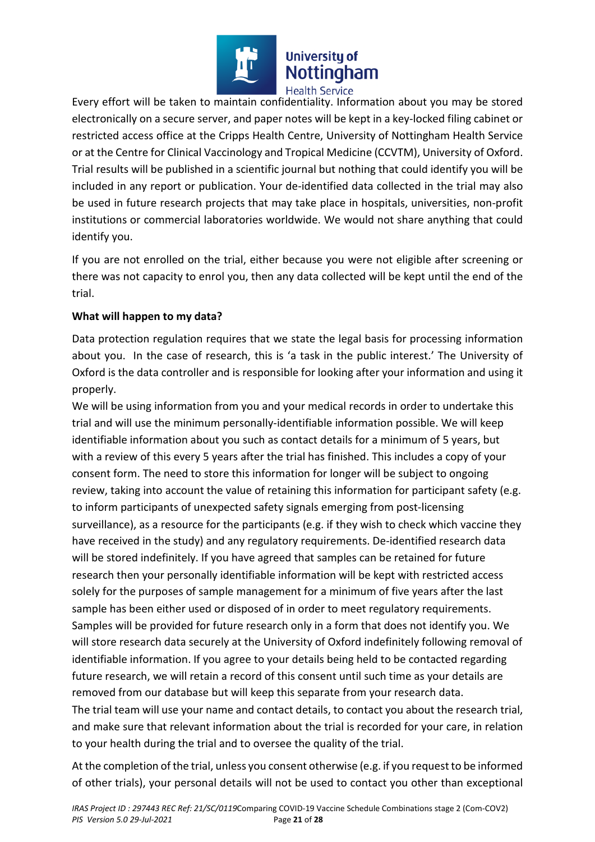

Every effort will be taken to maintain confidentiality. Information about you may be stored electronically on a secure server, and paper notes will be kept in a key-locked filing cabinet or restricted access office at the Cripps Health Centre, University of Nottingham Health Service or at the Centre for Clinical Vaccinology and Tropical Medicine (CCVTM), University of Oxford. Trial results will be published in a scientific journal but nothing that could identify you will be included in any report or publication. Your de-identified data collected in the trial may also be used in future research projects that may take place in hospitals, universities, non-profit institutions or commercial laboratories worldwide. We would not share anything that could identify you.

If you are not enrolled on the trial, either because you were not eligible after screening or there was not capacity to enrol you, then any data collected will be kept until the end of the trial.

# **What will happen to my data?**

Data protection regulation requires that we state the legal basis for processing information about you. In the case of research, this is 'a task in the public interest.' The University of Oxford is the data controller and is responsible for looking after your information and using it properly.

We will be using information from you and your medical records in order to undertake this trial and will use the minimum personally-identifiable information possible. We will keep identifiable information about you such as contact details for a minimum of 5 years, but with a review of this every 5 years after the trial has finished. This includes a copy of your consent form. The need to store this information for longer will be subject to ongoing review, taking into account the value of retaining this information for participant safety (e.g. to inform participants of unexpected safety signals emerging from post-licensing surveillance), as a resource for the participants (e.g. if they wish to check which vaccine they have received in the study) and any regulatory requirements. De-identified research data will be stored indefinitely. If you have agreed that samples can be retained for future research then your personally identifiable information will be kept with restricted access solely for the purposes of sample management for a minimum of five years after the last sample has been either used or disposed of in order to meet regulatory requirements. Samples will be provided for future research only in a form that does not identify you. We will store research data securely at the University of Oxford indefinitely following removal of identifiable information. If you agree to your details being held to be contacted regarding future research, we will retain a record of this consent until such time as your details are removed from our database but will keep this separate from your research data. The trial team will use your name and contact details, to contact you about the research trial, and make sure that relevant information about the trial is recorded for your care, in relation to your health during the trial and to oversee the quality of the trial.

At the completion of the trial, unless you consent otherwise (e.g. if you request to be informed of other trials), your personal details will not be used to contact you other than exceptional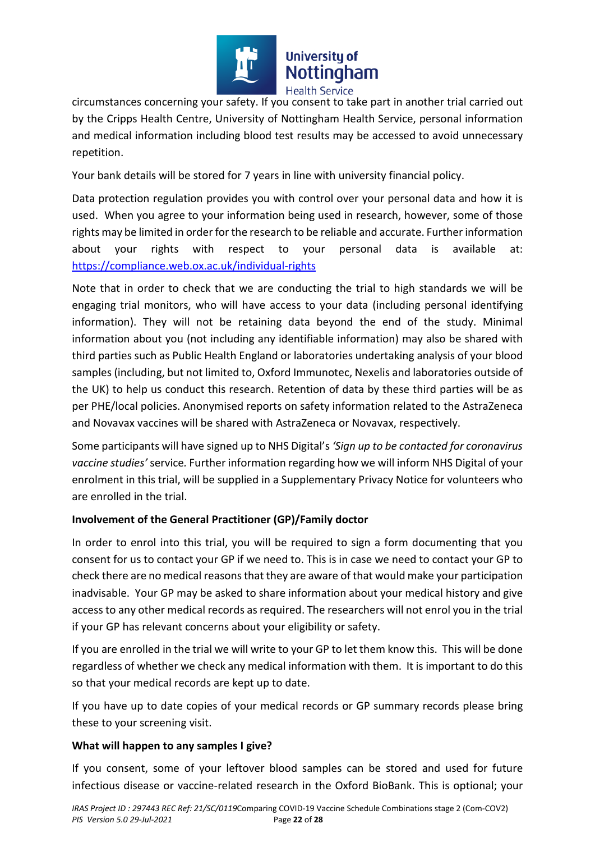

circumstances concerning your safety. If you consent to take part in another trial carried out by the Cripps Health Centre, University of Nottingham Health Service, personal information and medical information including blood test results may be accessed to avoid unnecessary repetition.

Your bank details will be stored for 7 years in line with university financial policy.

Data protection regulation provides you with control over your personal data and how it is used. When you agree to your information being used in research, however, some of those rights may be limited in order for the research to be reliable and accurate. Further information about your rights with respect to your personal data is available at: https://compliance.web.ox.ac.uk/individual-rights

Note that in order to check that we are conducting the trial to high standards we will be engaging trial monitors, who will have access to your data (including personal identifying information). They will not be retaining data beyond the end of the study. Minimal information about you (not including any identifiable information) may also be shared with third parties such as Public Health England or laboratories undertaking analysis of your blood samples (including, but not limited to, Oxford Immunotec, Nexelis and laboratories outside of the UK) to help us conduct this research. Retention of data by these third parties will be as per PHE/local policies. Anonymised reports on safety information related to the AstraZeneca and Novavax vaccines will be shared with AstraZeneca or Novavax, respectively.

Some participants will have signed up to NHS Digital's *'Sign up to be contacted for coronavirus vaccine studies'* service*.* Further information regarding how we will inform NHS Digital of your enrolment in this trial, will be supplied in a Supplementary Privacy Notice for volunteers who are enrolled in the trial.

# **Involvement of the General Practitioner (GP)/Family doctor**

In order to enrol into this trial, you will be required to sign a form documenting that you consent for us to contact your GP if we need to. This is in case we need to contact your GP to check there are no medical reasons that they are aware of that would make your participation inadvisable. Your GP may be asked to share information about your medical history and give access to any other medical records as required. The researchers will not enrol you in the trial if your GP has relevant concerns about your eligibility or safety.

If you are enrolled in the trial we will write to your GP to let them know this. This will be done regardless of whether we check any medical information with them. It is important to do this so that your medical records are kept up to date.

If you have up to date copies of your medical records or GP summary records please bring these to your screening visit.

# **What will happen to any samples I give?**

If you consent, some of your leftover blood samples can be stored and used for future infectious disease or vaccine-related research in the Oxford BioBank. This is optional; your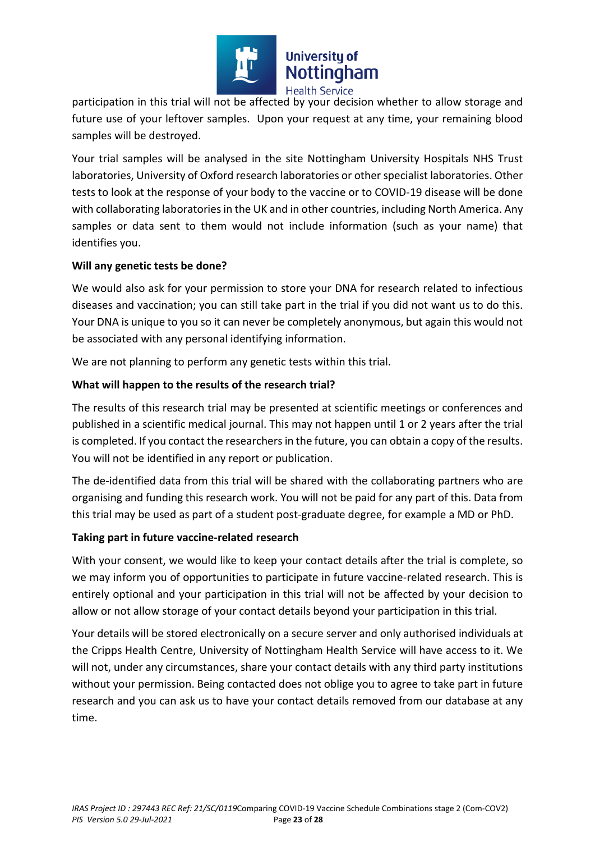

participation in this trial will not be affected by your decision whether to allow storage and future use of your leftover samples. Upon your request at any time, your remaining blood samples will be destroyed.

Your trial samples will be analysed in the site Nottingham University Hospitals NHS Trust laboratories, University of Oxford research laboratories or other specialist laboratories. Other tests to look at the response of your body to the vaccine or to COVID-19 disease will be done with collaborating laboratories in the UK and in other countries, including North America. Any samples or data sent to them would not include information (such as your name) that identifies you.

# **Will any genetic tests be done?**

We would also ask for your permission to store your DNA for research related to infectious diseases and vaccination; you can still take part in the trial if you did not want us to do this. Your DNA is unique to you so it can never be completely anonymous, but again this would not be associated with any personal identifying information.

We are not planning to perform any genetic tests within this trial.

# **What will happen to the results of the research trial?**

The results of this research trial may be presented at scientific meetings or conferences and published in a scientific medical journal. This may not happen until 1 or 2 years after the trial is completed. If you contact the researchers in the future, you can obtain a copy of the results. You will not be identified in any report or publication.

The de-identified data from this trial will be shared with the collaborating partners who are organising and funding this research work. You will not be paid for any part of this. Data from this trial may be used as part of a student post-graduate degree, for example a MD or PhD.

#### **Taking part in future vaccine-related research**

With your consent, we would like to keep your contact details after the trial is complete, so we may inform you of opportunities to participate in future vaccine-related research. This is entirely optional and your participation in this trial will not be affected by your decision to allow or not allow storage of your contact details beyond your participation in this trial.

Your details will be stored electronically on a secure server and only authorised individuals at the Cripps Health Centre, University of Nottingham Health Service will have access to it. We will not, under any circumstances, share your contact details with any third party institutions without your permission. Being contacted does not oblige you to agree to take part in future research and you can ask us to have your contact details removed from our database at any time.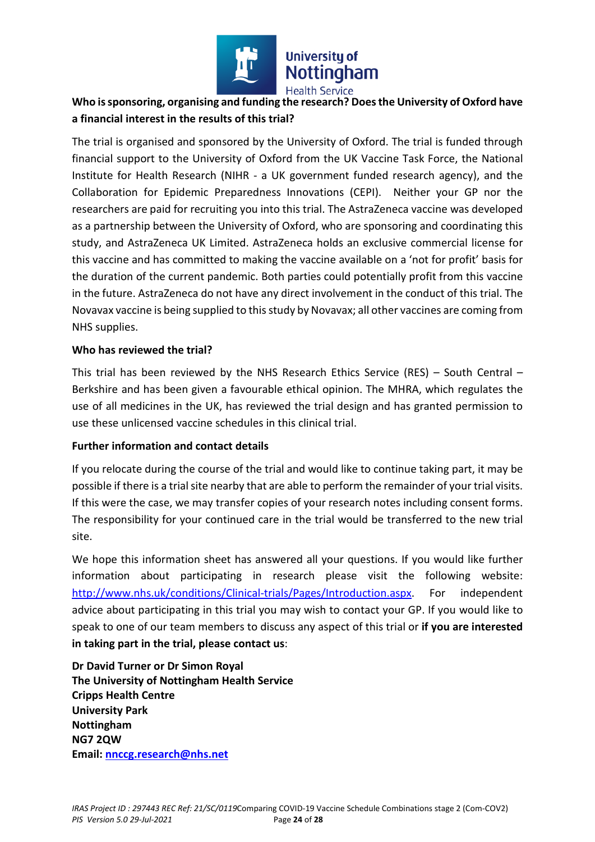

# **Who is sponsoring, organising and funding the research? Does the University of Oxford have a financial interest in the results of this trial?**

The trial is organised and sponsored by the University of Oxford. The trial is funded through financial support to the University of Oxford from the UK Vaccine Task Force, the National Institute for Health Research (NIHR - a UK government funded research agency), and the Collaboration for Epidemic Preparedness Innovations (CEPI). Neither your GP nor the researchers are paid for recruiting you into this trial. The AstraZeneca vaccine was developed as a partnership between the University of Oxford, who are sponsoring and coordinating this study, and AstraZeneca UK Limited. AstraZeneca holds an exclusive commercial license for this vaccine and has committed to making the vaccine available on a 'not for profit' basis for the duration of the current pandemic. Both parties could potentially profit from this vaccine in the future. AstraZeneca do not have any direct involvement in the conduct of this trial. The Novavax vaccine is being supplied to this study by Novavax; all other vaccines are coming from NHS supplies.

# **Who has reviewed the trial?**

This trial has been reviewed by the NHS Research Ethics Service (RES) – South Central – Berkshire and has been given a favourable ethical opinion. The MHRA, which regulates the use of all medicines in the UK, has reviewed the trial design and has granted permission to use these unlicensed vaccine schedules in this clinical trial.

# **Further information and contact details**

If you relocate during the course of the trial and would like to continue taking part, it may be possible if there is a trial site nearby that are able to perform the remainder of your trial visits. If this were the case, we may transfer copies of your research notes including consent forms. The responsibility for your continued care in the trial would be transferred to the new trial site.

We hope this information sheet has answered all your questions. If you would like further information about participating in research please visit the following website: http://www.nhs.uk/conditions/Clinical-trials/Pages/Introduction.aspx. For independent advice about participating in this trial you may wish to contact your GP. If you would like to speak to one of our team members to discuss any aspect of this trial or **if you are interested in taking part in the trial, please contact us**:

**Dr David Turner or Dr Simon Royal The University of Nottingham Health Service Cripps Health Centre University Park Nottingham NG7 2QW Email: nnccg.research@nhs.net**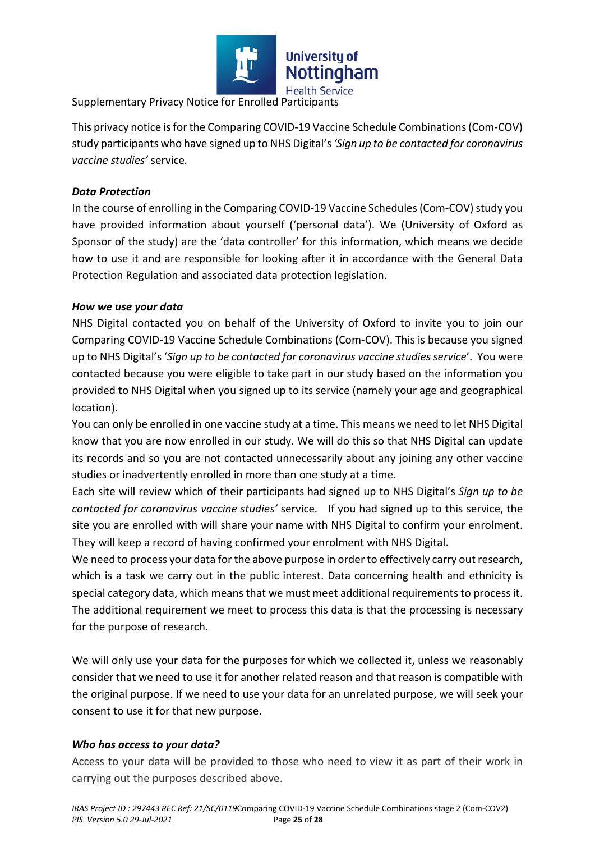

Supplementary Privacy Notice for Enrolled Participants

This privacy notice is for the Comparing COVID-19 Vaccine Schedule Combinations (Com-COV) study participants who have signed up to NHS Digital's *'Sign up to be contacted for coronavirus vaccine studies'* service*.* 

# *Data Protection*

In the course of enrolling in the Comparing COVID-19 Vaccine Schedules (Com-COV) study you have provided information about yourself ('personal data'). We (University of Oxford as Sponsor of the study) are the 'data controller' for this information, which means we decide how to use it and are responsible for looking after it in accordance with the General Data Protection Regulation and associated data protection legislation.

#### *How we use your data*

NHS Digital contacted you on behalf of the University of Oxford to invite you to join our Comparing COVID-19 Vaccine Schedule Combinations (Com-COV). This is because you signed up to NHS Digital's '*Sign up to be contacted for coronavirus vaccine studies service*'. You were contacted because you were eligible to take part in our study based on the information you provided to NHS Digital when you signed up to its service (namely your age and geographical location).

You can only be enrolled in one vaccine study at a time. This means we need to let NHS Digital know that you are now enrolled in our study. We will do this so that NHS Digital can update its records and so you are not contacted unnecessarily about any joining any other vaccine studies or inadvertently enrolled in more than one study at a time.

Each site will review which of their participants had signed up to NHS Digital's *Sign up to be contacted for coronavirus vaccine studies'* service*.* If you had signed up to this service, the site you are enrolled with will share your name with NHS Digital to confirm your enrolment. They will keep a record of having confirmed your enrolment with NHS Digital.

We need to process your data for the above purpose in order to effectively carry out research, which is a task we carry out in the public interest. Data concerning health and ethnicity is special category data, which means that we must meet additional requirements to process it. The additional requirement we meet to process this data is that the processing is necessary for the purpose of research.

We will only use your data for the purposes for which we collected it, unless we reasonably consider that we need to use it for another related reason and that reason is compatible with the original purpose. If we need to use your data for an unrelated purpose, we will seek your consent to use it for that new purpose.

# *Who has access to your data?*

Access to your data will be provided to those who need to view it as part of their work in carrying out the purposes described above.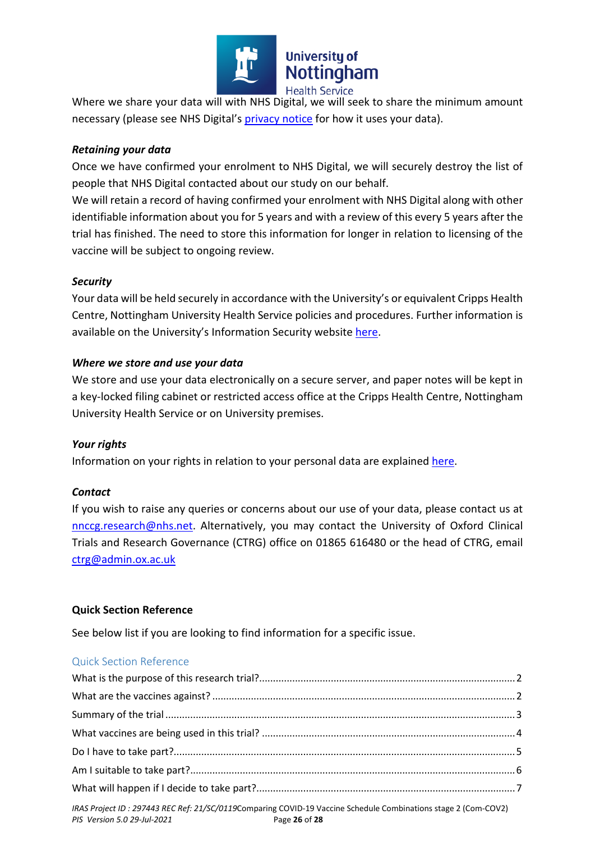

Where we share your data will with NHS Digital, we will seek to share the minimum amount necessary (please see NHS Digital's privacy notice for how it uses your data).

## *Retaining your data*

Once we have confirmed your enrolment to NHS Digital, we will securely destroy the list of people that NHS Digital contacted about our study on our behalf.

We will retain a record of having confirmed your enrolment with NHS Digital along with other identifiable information about you for 5 years and with a review of this every 5 years after the trial has finished. The need to store this information for longer in relation to licensing of the vaccine will be subject to ongoing review.

## *Security*

Your data will be held securely in accordance with the University's or equivalent Cripps Health Centre, Nottingham University Health Service policies and procedures. Further information is available on the University's Information Security website here.

## *Where we store and use your data*

We store and use your data electronically on a secure server, and paper notes will be kept in a key-locked filing cabinet or restricted access office at the Cripps Health Centre, Nottingham University Health Service or on University premises.

#### *Your rights*

Information on your rights in relation to your personal data are explained here.

#### *Contact*

If you wish to raise any queries or concerns about our use of your data, please contact us at nnccg.research@nhs.net. Alternatively, you may contact the University of Oxford Clinical Trials and Research Governance (CTRG) office on 01865 616480 or the head of CTRG, email ctrg@admin.ox.ac.uk

#### **Quick Section Reference**

See below list if you are looking to find information for a specific issue.

#### Quick Section Reference

| (0.1000)(1.10000)(0.00000) |  |
|----------------------------|--|

*IRAS Project ID : 297443 REC Ref: 21/SC/0119*Comparing COVID-19 Vaccine Schedule Combinations stage 2 (Com-COV2) *PIS Version 5.0 29-Jul-2021* Page **26** of **28**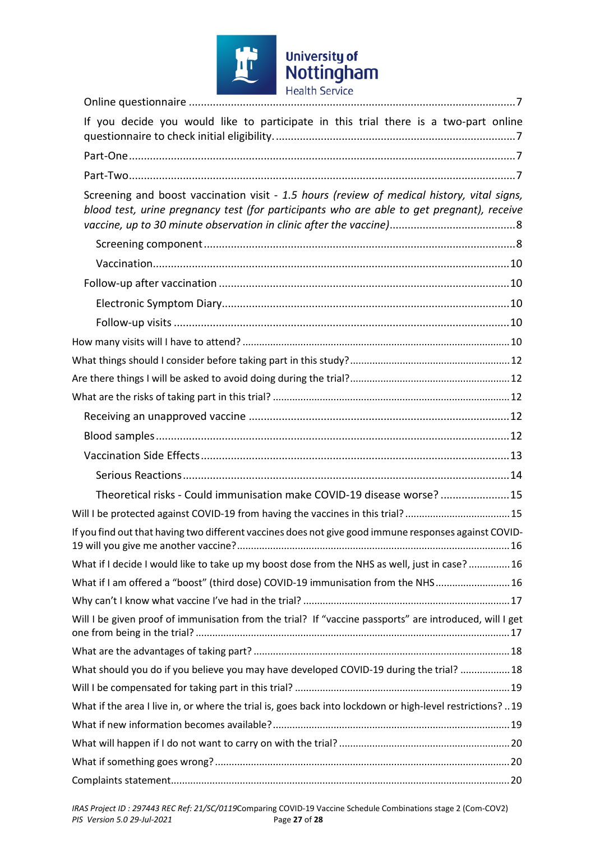

| If you decide you would like to participate in this trial there is a two-part online                                                                                                    |
|-----------------------------------------------------------------------------------------------------------------------------------------------------------------------------------------|
|                                                                                                                                                                                         |
|                                                                                                                                                                                         |
| Screening and boost vaccination visit - 1.5 hours (review of medical history, vital signs,<br>blood test, urine pregnancy test (for participants who are able to get pregnant), receive |
|                                                                                                                                                                                         |
|                                                                                                                                                                                         |
|                                                                                                                                                                                         |
|                                                                                                                                                                                         |
|                                                                                                                                                                                         |
|                                                                                                                                                                                         |
|                                                                                                                                                                                         |
|                                                                                                                                                                                         |
|                                                                                                                                                                                         |
|                                                                                                                                                                                         |
|                                                                                                                                                                                         |
|                                                                                                                                                                                         |
|                                                                                                                                                                                         |
| Theoretical risks - Could immunisation make COVID-19 disease worse?15                                                                                                                   |
| Will I be protected against COVID-19 from having the vaccines in this trial? 15                                                                                                         |
| If you find out that having two different vaccines does not give good immune responses against COVID-                                                                                   |
| What if I decide I would like to take up my boost dose from the NHS as well, just in case? 16                                                                                           |
| What if I am offered a "boost" (third dose) COVID-19 immunisation from the NHS 16                                                                                                       |
|                                                                                                                                                                                         |
| Will I be given proof of immunisation from the trial? If "vaccine passports" are introduced, will I get                                                                                 |
|                                                                                                                                                                                         |
| What should you do if you believe you may have developed COVID-19 during the trial?  18                                                                                                 |
|                                                                                                                                                                                         |
| What if the area I live in, or where the trial is, goes back into lockdown or high-level restrictions?  19                                                                              |
|                                                                                                                                                                                         |
|                                                                                                                                                                                         |
|                                                                                                                                                                                         |
|                                                                                                                                                                                         |